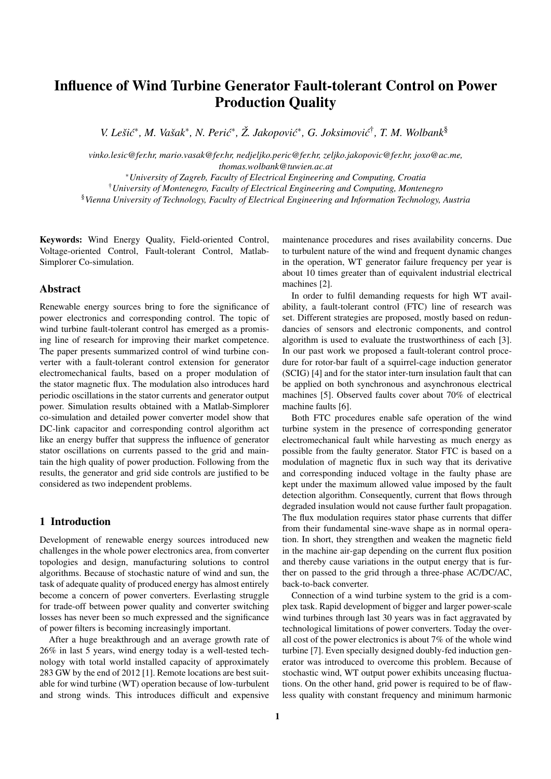# Influence of Wind Turbine Generator Fault-tolerant Control on Power Production Quality

*V. Lesiˇ c´* ∗ *, M. Vasak ˇ* ∗ *, N. Peric´* ∗ *, Z. Jakopovi ˇ c´* ∗ *, G. Joksimovic´* † *, T. M. Wolbank*§

*vinko.lesic@fer.hr, mario.vasak@fer.hr, nedjeljko.peric@fer.hr, zeljko.jakopovic@fer.hr, joxo@ac.me, thomas.wolbank@tuwien.ac.at*

<sup>∗</sup>*University of Zagreb, Faculty of Electrical Engineering and Computing, Croatia*

†*University of Montenegro, Faculty of Electrical Engineering and Computing, Montenegro*

§*Vienna University of Technology, Faculty of Electrical Engineering and Information Technology, Austria*

Keywords: Wind Energy Quality, Field-oriented Control, Voltage-oriented Control, Fault-tolerant Control, Matlab-Simplorer Co-simulation.

# Abstract

Renewable energy sources bring to fore the significance of power electronics and corresponding control. The topic of wind turbine fault-tolerant control has emerged as a promising line of research for improving their market competence. The paper presents summarized control of wind turbine converter with a fault-tolerant control extension for generator electromechanical faults, based on a proper modulation of the stator magnetic flux. The modulation also introduces hard periodic oscillations in the stator currents and generator output power. Simulation results obtained with a Matlab-Simplorer co-simulation and detailed power converter model show that DC-link capacitor and corresponding control algorithm act like an energy buffer that suppress the influence of generator stator oscillations on currents passed to the grid and maintain the high quality of power production. Following from the results, the generator and grid side controls are justified to be considered as two independent problems.

# 1 Introduction

Development of renewable energy sources introduced new challenges in the whole power electronics area, from converter topologies and design, manufacturing solutions to control algorithms. Because of stochastic nature of wind and sun, the task of adequate quality of produced energy has almost entirely become a concern of power converters. Everlasting struggle for trade-off between power quality and converter switching losses has never been so much expressed and the significance of power filters is becoming increasingly important.

After a huge breakthrough and an average growth rate of 26% in last 5 years, wind energy today is a well-tested technology with total world installed capacity of approximately 283 GW by the end of 2012 [1]. Remote locations are best suitable for wind turbine (WT) operation because of low-turbulent and strong winds. This introduces difficult and expensive

maintenance procedures and rises availability concerns. Due to turbulent nature of the wind and frequent dynamic changes in the operation, WT generator failure frequency per year is about 10 times greater than of equivalent industrial electrical machines [2].

In order to fulfil demanding requests for high WT availability, a fault-tolerant control (FTC) line of research was set. Different strategies are proposed, mostly based on redundancies of sensors and electronic components, and control algorithm is used to evaluate the trustworthiness of each [3]. In our past work we proposed a fault-tolerant control procedure for rotor-bar fault of a squirrel-cage induction generator (SCIG) [4] and for the stator inter-turn insulation fault that can be applied on both synchronous and asynchronous electrical machines [5]. Observed faults cover about 70% of electrical machine faults [6].

Both FTC procedures enable safe operation of the wind turbine system in the presence of corresponding generator electromechanical fault while harvesting as much energy as possible from the faulty generator. Stator FTC is based on a modulation of magnetic flux in such way that its derivative and corresponding induced voltage in the faulty phase are kept under the maximum allowed value imposed by the fault detection algorithm. Consequently, current that flows through degraded insulation would not cause further fault propagation. The flux modulation requires stator phase currents that differ from their fundamental sine-wave shape as in normal operation. In short, they strengthen and weaken the magnetic field in the machine air-gap depending on the current flux position and thereby cause variations in the output energy that is further on passed to the grid through a three-phase AC/DC/AC, back-to-back converter.

Connection of a wind turbine system to the grid is a complex task. Rapid development of bigger and larger power-scale wind turbines through last 30 years was in fact aggravated by technological limitations of power converters. Today the overall cost of the power electronics is about 7% of the whole wind turbine [7]. Even specially designed doubly-fed induction generator was introduced to overcome this problem. Because of stochastic wind, WT output power exhibits unceasing fluctuations. On the other hand, grid power is required to be of flawless quality with constant frequency and minimum harmonic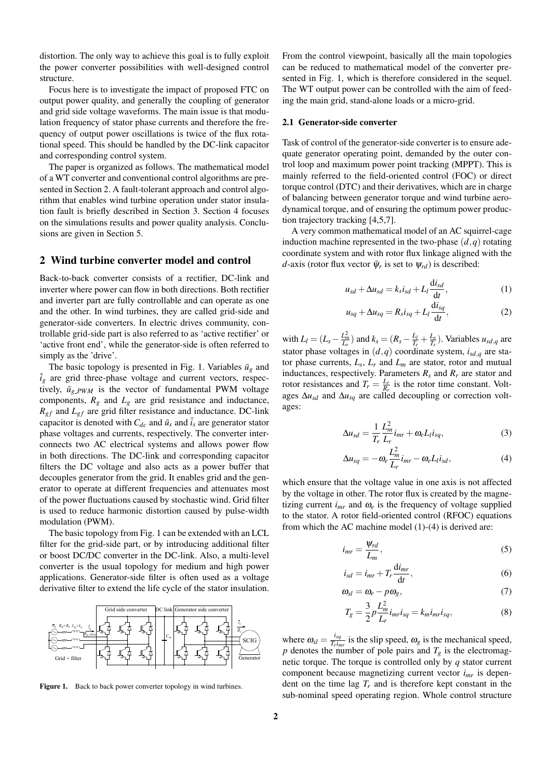distortion. The only way to achieve this goal is to fully exploit the power converter possibilities with well-designed control structure.

Focus here is to investigate the impact of proposed FTC on output power quality, and generally the coupling of generator and grid side voltage waveforms. The main issue is that modulation frequency of stator phase currents and therefore the frequency of output power oscillations is twice of the flux rotational speed. This should be handled by the DC-link capacitor and corresponding control system.

The paper is organized as follows. The mathematical model of a WT converter and conventional control algorithms are presented in Section 2. A fault-tolerant approach and control algorithm that enables wind turbine operation under stator insulation fault is briefly described in Section 3. Section 4 focuses on the simulations results and power quality analysis. Conclusions are given in Section 5.

# 2 Wind turbine converter model and control

Back-to-back converter consists of a rectifier, DC-link and inverter where power can flow in both directions. Both rectifier and inverter part are fully controllable and can operate as one and the other. In wind turbines, they are called grid-side and generator-side converters. In electric drives community, controllable grid-side part is also referred to as 'active rectifier' or 'active front end', while the generator-side is often referred to simply as the 'drive'.

The basic topology is presented in Fig. 1. Variables  $\bar{u}_g$  and  $\bar{i}_g$  are grid three-phase voltage and current vectors, respectively,  $\bar{u}_{g.PWM}$  is the vector of fundamental PWM voltage components,  $R_g$  and  $L_g$  are grid resistance and inductance,  $R_{gf}$  and  $L_{gf}$  are grid filter resistance and inductance. DC-link capacitor is denoted with  $C_{dc}$  and  $\bar{u}_s$  and  $\bar{i}_s$  are generator stator phase voltages and currents, respectively. The converter interconnects two AC electrical systems and allows power flow in both directions. The DC-link and corresponding capacitor filters the DC voltage and also acts as a power buffer that decouples generator from the grid. It enables grid and the generator to operate at different frequencies and attenuates most of the power fluctuations caused by stochastic wind. Grid filter is used to reduce harmonic distortion caused by pulse-width modulation (PWM).

The basic topology from Fig. 1 can be extended with an LCL filter for the grid-side part, or by introducing additional filter or boost DC/DC converter in the DC-link. Also, a multi-level converter is the usual topology for medium and high power applications. Generator-side filter is often used as a voltage derivative filter to extend the life cycle of the stator insulation.



Figure 1. Back to back power converter topology in wind turbines.

From the control viewpoint, basically all the main topologies can be reduced to mathematical model of the converter presented in Fig. 1, which is therefore considered in the sequel. The WT output power can be controlled with the aim of feeding the main grid, stand-alone loads or a micro-grid.

#### 2.1 Generator-side converter

Task of control of the generator-side converter is to ensure adequate generator operating point, demanded by the outer control loop and maximum power point tracking (MPPT). This is mainly referred to the field-oriented control (FOC) or direct torque control (DTC) and their derivatives, which are in charge of balancing between generator torque and wind turbine aerodynamical torque, and of ensuring the optimum power production trajectory tracking [4,5,7].

A very common mathematical model of an AC squirrel-cage induction machine represented in the two-phase  $(d, q)$  rotating coordinate system and with rotor flux linkage aligned with the *d*-axis (rotor flux vector  $\bar{\psi}_r$  is set to  $\psi_{rd}$ ) is described:

$$
u_{sd} + \Delta u_{sd} = k_s i_{sd} + L_l \frac{di_{sd}}{dt},
$$
\n(1)

$$
u_{sq} + \Delta u_{sq} = R_s i_{sq} + L_l \frac{\mathrm{d}i_{sq}}{\mathrm{d}t},\tag{2}
$$

with  $L_l = (L_s - \frac{L_m^2}{L_r})$  and  $k_s = (R_s - \frac{L_l}{T_r} + \frac{L_s}{T_r})$ . Variables  $u_{sd,q}$  are stator phase voltages in  $(d,q)$  coordinate system,  $i_{sd,q}$  are stator phase currents,  $L_s$ ,  $L_r$  and  $L_m$  are stator, rotor and mutual inductances, respectively. Parameters  $R_s$  and  $R_r$  are stator and rotor resistances and  $T_r = \frac{L_r}{R_r}$  is the rotor time constant. Voltages ∆*usd* and ∆*usq* are called decoupling or correction voltages:

$$
\Delta u_{sd} = \frac{1}{T_r} \frac{L_m^2}{L_r} i_{mr} + \omega_e L_l i_{sq},\tag{3}
$$

$$
\Delta u_{sq} = -\omega_e \frac{L_m^2}{L_r} i_{mr} - \omega_e L_l i_{sd},\tag{4}
$$

which ensure that the voltage value in one axis is not affected by the voltage in other. The rotor flux is created by the magnetizing current  $i_{mr}$  and  $\omega_e$  is the frequency of voltage supplied to the stator. A rotor field-oriented control (RFOC) equations from which the AC machine model (1)-(4) is derived are:

$$
i_{mr} = \frac{\Psi r d}{L_m},\tag{5}
$$

$$
i_{sd} = i_{mr} + T_r \frac{di_{mr}}{dt},
$$
\t(6)

$$
\omega_{sl} = \omega_e - p\omega_g, \qquad (7)
$$

$$
T_g = \frac{3}{2} p \frac{L_m^2}{L_r} i_{mr} i_{sq} = k_m i_{mr} i_{sq},\tag{8}
$$

where  $\omega_{sl} = \frac{i_{sq}}{T_{rls}}$  $\frac{t_{sq}}{T_{r}i_{mr}}$  is the slip speed,  $\omega_g$  is the mechanical speed, *p* denotes the number of pole pairs and  $T_g$  is the electromagnetic torque. The torque is controlled only by *q* stator current component because magnetizing current vector *imr* is dependent on the time lag  $T_r$  and is therefore kept constant in the sub-nominal speed operating region. Whole control structure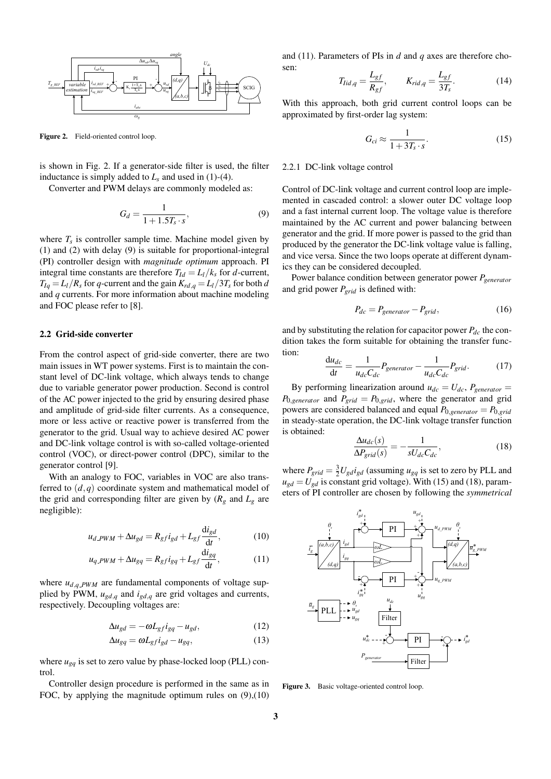

Figure 2. Field-oriented control loop.

is shown in Fig. 2. If a generator-side filter is used, the filter inductance is simply added to  $L<sub>s</sub>$  and used in (1)-(4).

Converter and PWM delays are commonly modeled as:

$$
G_d = \frac{1}{1 + 1.5T_s \cdot s},\tag{9}
$$

where  $T_s$  is controller sample time. Machine model given by (1) and (2) with delay (9) is suitable for proportional-integral (PI) controller design with *magnitude optimum* approach. PI integral time constants are therefore  $T_{Id} = L_l/k_s$  for *d*-current,  $T_{Iq} = L_l/R_s$  for *q*-current and the gain  $K_{rd,q} = L_l/3T_s$  for both *d* and *q* currents. For more information about machine modeling and FOC please refer to [8].

#### 2.2 Grid-side converter

From the control aspect of grid-side converter, there are two main issues in WT power systems. First is to maintain the constant level of DC-link voltage, which always tends to change due to variable generator power production. Second is control of the AC power injected to the grid by ensuring desired phase and amplitude of grid-side filter currents. As a consequence, more or less active or reactive power is transferred from the generator to the grid. Usual way to achieve desired AC power and DC-link voltage control is with so-called voltage-oriented control (VOC), or direct-power control (DPC), similar to the generator control [9].

With an analogy to FOC, variables in VOC are also transferred to (*d*,*q*) coordinate system and mathematical model of the grid and corresponding filter are given by  $(R_g \text{ and } L_g \text{ are})$ negligible):

$$
u_{d.PWM} + \Delta u_{gd} = R_{gf} i_{gd} + L_{gf} \frac{di_{gd}}{dt},
$$
 (10)

$$
u_{q.PWM} + \Delta u_{gq} = R_{gf} i_{gq} + L_{gf} \frac{di_{gq}}{dt},
$$
 (11)

where  $u_{d,q}$ <sub>*PWM*</sub> are fundamental components of voltage supplied by PWM,  $u_{gd,q}$  and  $i_{gd,q}$  are grid voltages and currents, respectively. Decoupling voltages are:

$$
\Delta u_{gd} = -\omega L_{gf} i_{gq} - u_{gd},\qquad(12)
$$

$$
\Delta u_{gq} = \omega L_{gf} i_{gd} - u_{gq},\tag{13}
$$

where  $u_{gq}$  is set to zero value by phase-locked loop (PLL) control.

Controller design procedure is performed in the same as in FOC, by applying the magnitude optimum rules on (9),(10)

and (11). Parameters of PIs in *d* and *q* axes are therefore chosen:

$$
T_{Iid,q} = \frac{L_{gf}}{R_{gf}}, \qquad K_{rid,q} = \frac{L_{gf}}{3T_s}.
$$
 (14)

With this approach, both grid current control loops can be approximated by first-order lag system:

$$
G_{ci} \approx \frac{1}{1 + 3T_s \cdot s}.\tag{15}
$$

#### 2.2.1 DC-link voltage control

Control of DC-link voltage and current control loop are implemented in cascaded control: a slower outer DC voltage loop and a fast internal current loop. The voltage value is therefore maintained by the AC current and power balancing between generator and the grid. If more power is passed to the grid than produced by the generator the DC-link voltage value is falling, and vice versa. Since the two loops operate at different dynamics they can be considered decoupled.

Power balance condition between generator power *Pgenerator* and grid power *Pgrid* is defined with:

$$
P_{dc} = P_{generator} - P_{grid}, \t\t(16)
$$

and by substituting the relation for capacitor power  $P_{dc}$  the condition takes the form suitable for obtaining the transfer function:

$$
\frac{du_{dc}}{dt} = \frac{1}{u_{dc}C_{dc}}P_{generator} - \frac{1}{u_{dc}C_{dc}}P_{grid}.
$$
 (17)

By performing linearization around  $u_{dc} = U_{dc}$ ,  $P_{generator} =$  $P_{0,generator}$  and  $P_{grid} = P_{0,grid}$ , where the generator and grid powers are considered balanced and equal  $P_{0,generator} = P_{0,grid}$ in steady-state operation, the DC-link voltage transfer function is obtained:

$$
\frac{\Delta u_{dc}(s)}{\Delta P_{grid}(s)} = -\frac{1}{sU_{dc}C_{dc}},\tag{18}
$$

where  $P_{grid} = \frac{3}{2} U_{gd} i_{gd}$  (assuming  $u_{gq}$  is set to zero by PLL and  $u_{\text{gd}} = U_{\text{gd}}$  is constant grid voltage). With (15) and (18), parameters of PI controller are chosen by following the *symmetrical*



Figure 3. Basic voltage-oriented control loop.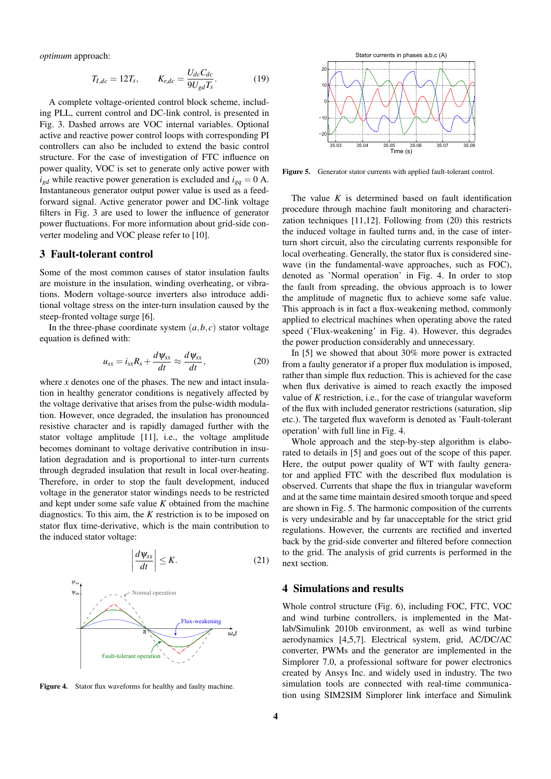*optimum* approach:

$$
T_{I,dc} = 12T_s, \t K_{r,dc} = \frac{U_{dc}C_{dc}}{9U_{gd}T_s}.
$$
 (19)

A complete voltage-oriented control block scheme, including PLL, current control and DC-link control, is presented in Fig. 3. Dashed arrows are VOC internal variables. Optional active and reactive power control loops with corresponding PI controllers can also be included to extend the basic control structure. For the case of investigation of FTC influence on power quality, VOC is set to generate only active power with  $i_{gd}$  while reactive power generation is excluded and  $i_{gq} = 0$  A. Instantaneous generator output power value is used as a feedforward signal. Active generator power and DC-link voltage filters in Fig. 3 are used to lower the influence of generator power fluctuations. For more information about grid-side converter modeling and VOC please refer to [10].

## 3 Fault-tolerant control

Some of the most common causes of stator insulation faults are moisture in the insulation, winding overheating, or vibrations. Modern voltage-source inverters also introduce additional voltage stress on the inter-turn insulation caused by the steep-fronted voltage surge [6].

In the three-phase coordinate system  $(a, b, c)$  stator voltage equation is defined with:

$$
u_{sx} = i_{sx}R_s + \frac{d\psi_{sx}}{dt} \approx \frac{d\psi_{sx}}{dt},
$$
 (20)

where *x* denotes one of the phases. The new and intact insulation in healthy generator conditions is negatively affected by the voltage derivative that arises from the pulse-width modulation. However, once degraded, the insulation has pronounced resistive character and is rapidly damaged further with the stator voltage amplitude [11], i.e., the voltage amplitude becomes dominant to voltage derivative contribution in insulation degradation and is proportional to inter-turn currents through degraded insulation that result in local over-heating. Therefore, in order to stop the fault development, induced voltage in the generator stator windings needs to be restricted and kept under some safe value *K* obtained from the machine diagnostics. To this aim, the *K* restriction is to be imposed on stator flux time-derivative, which is the main contribution to the induced stator voltage:



Figure 4. Stator flux waveforms for healthy and faulty machine.



Figure 5. Generator stator currents with applied fault-tolerant control.

The value  $K$  is determined based on fault identification procedure through machine fault monitoring and characterization techniques [11,12]. Following from (20) this restricts the induced voltage in faulted turns and, in the case of interturn short circuit, also the circulating currents responsible for local overheating. Generally, the stator flux is considered sinewave (in the fundamental-wave approaches, such as FOC), denoted as 'Normal operation' in Fig. 4. In order to stop the fault from spreading, the obvious approach is to lower the amplitude of magnetic flux to achieve some safe value. This approach is in fact a flux-weakening method, commonly applied to electrical machines when operating above the rated speed ('Flux-weakening' in Fig. 4). However, this degrades the power production considerably and unnecessary.

In [5] we showed that about 30% more power is extracted from a faulty generator if a proper flux modulation is imposed, rather than simple flux reduction. This is achieved for the case when flux derivative is aimed to reach exactly the imposed value of *K* restriction, i.e., for the case of triangular waveform of the flux with included generator restrictions (saturation, slip etc.). The targeted flux waveform is denoted as 'Fault-tolerant operation' with full line in Fig. 4.

Whole approach and the step-by-step algorithm is elaborated to details in [5] and goes out of the scope of this paper. Here, the output power quality of WT with faulty generator and applied FTC with the described flux modulation is observed. Currents that shape the flux in triangular waveform and at the same time maintain desired smooth torque and speed are shown in Fig. 5. The harmonic composition of the currents is very undesirable and by far unacceptable for the strict grid regulations. However, the currents are rectified and inverted back by the grid-side converter and filtered before connection to the grid. The analysis of grid currents is performed in the next section.

## 4 Simulations and results

Whole control structure (Fig. 6), including FOC, FTC, VOC and wind turbine controllers, is implemented in the Matlab/Simulink 2010b environment, as well as wind turbine aerodynamics [4,5,7]. Electrical system, grid, AC/DC/AC converter, PWMs and the generator are implemented in the Simplorer 7.0, a professional software for power electronics created by Ansys Inc. and widely used in industry. The two simulation tools are connected with real-time communication using SIM2SIM Simplorer link interface and Simulink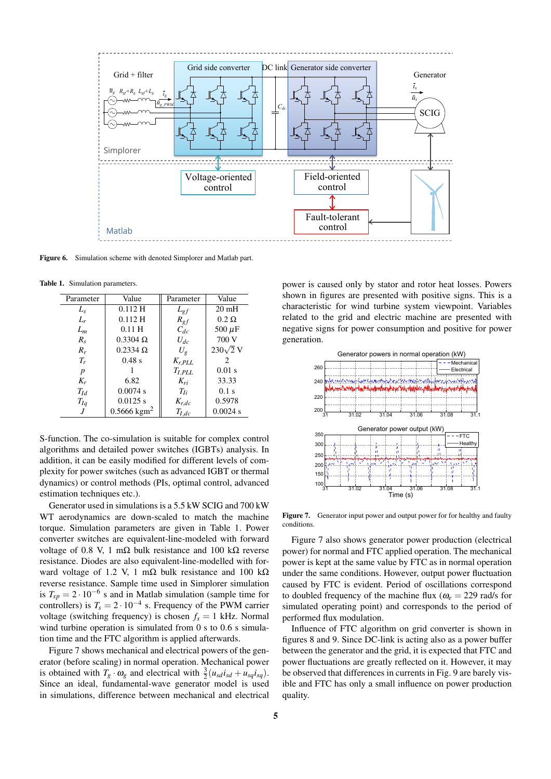

Figure 6. Simulation scheme with denoted Simplorer and Matlab part.

Table 1. Simulation parameters.

| Parameter        | Value                     | Parameter   | Value           |
|------------------|---------------------------|-------------|-----------------|
| $L_{\rm s}$      | 0.112H                    | $L_{gf}$    | $20 \text{ mH}$ |
| $L_r$            | $0.112$ H                 | $R_{gf}$    | $0.2 \Omega$    |
| $L_m$            | 0.11H                     | $C_{dc}$    | $500 \mu F$     |
| $R_{s}$          | $0.3304 \Omega$           | $U_{dc}$    | 700 V           |
| $R_r$            | $0.2334 \Omega$           | $U_g$       | $230\sqrt{2}$ V |
| $T_r$            | 0.48 s                    | $K_{r,PLL}$ | 2.              |
| $\boldsymbol{p}$ |                           | $T_{I,PLL}$ | $0.01$ s        |
| $K_r$            | 6.82                      | $K_{ri}$    | 33.33           |
| $T_{Id}$         | 0.0074 s                  | $T_{Ii}$    | $0.1$ s         |
| $T_{Iq}$         | $0.0125$ s                | $K_{r,dc}$  | 0.5978          |
|                  | $0.5666$ kgm <sup>2</sup> | $T_{I,dc}$  | 0.0024 s        |

S-function. The co-simulation is suitable for complex control algorithms and detailed power switches (IGBTs) analysis. In addition, it can be easily modified for different levels of complexity for power switches (such as advanced IGBT or thermal dynamics) or control methods (PIs, optimal control, advanced estimation techniques etc.).

Generator used in simulations is a 5.5 kW SCIG and 700 kW WT aerodynamics are down-scaled to match the machine torque. Simulation parameters are given in Table 1. Power converter switches are equivalent-line-modeled with forward voltage of 0.8 V, 1 mΩ bulk resistance and 100 kΩ reverse resistance. Diodes are also equivalent-line-modelled with forward voltage of 1.2 V, 1 mΩ bulk resistance and 100 kΩ reverse resistance. Sample time used in Simplorer simulation is  $T_{sp} = 2 \cdot 10^{-6}$  s and in Matlab simulation (sample time for controllers) is  $T_s = 2 \cdot 10^{-4}$  s. Frequency of the PWM carrier voltage (switching frequency) is chosen  $f_s = 1$  kHz. Normal wind turbine operation is simulated from 0 s to 0.6 s simulation time and the FTC algorithm is applied afterwards.

Figure 7 shows mechanical and electrical powers of the generator (before scaling) in normal operation. Mechanical power is obtained with  $T_g \cdot \omega_g$  and electrical with  $\frac{3}{2}(u_{sd}i_{sd} + u_{sq}i_{sq})$ . Since an ideal, fundamental-wave generator model is used in simulations, difference between mechanical and electrical

power is caused only by stator and rotor heat losses. Powers shown in figures are presented with positive signs. This is a characteristic for wind turbine system viewpoint. Variables related to the grid and electric machine are presented with negative signs for power consumption and positive for power generation.



Figure 7. Generator input power and output power for for healthy and faulty conditions.

Figure 7 also shows generator power production (electrical power) for normal and FTC applied operation. The mechanical power is kept at the same value by FTC as in normal operation under the same conditions. However, output power fluctuation caused by FTC is evident. Period of oscillations correspond to doubled frequency of the machine flux ( $\omega_e = 229$  rad/s for simulated operating point) and corresponds to the period of performed flux modulation.

Influence of FTC algorithm on grid converter is shown in figures 8 and 9. Since DC-link is acting also as a power buffer between the generator and the grid, it is expected that FTC and power fluctuations are greatly reflected on it. However, it may be observed that differences in currents in Fig. 9 are barely visible and FTC has only a small influence on power production quality.